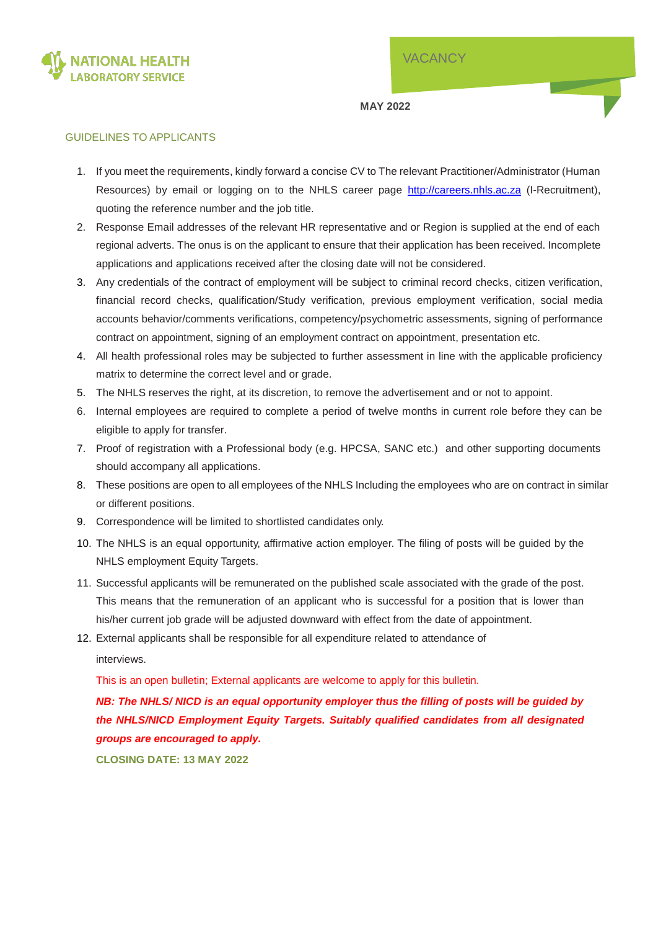

**MAY 2022**

## GUIDELINES TO APPLICANTS

- 1. If you meet the requirements, kindly forward a concise CV to The relevant Practitioner/Administrator (Human Resources) by email or logging on to the NHLS career page [http://careers.nhls.ac.za](http://careers.nhls.ac.za/) (I-Recruitment), quoting the reference number and the job title.
- 2. Response Email addresses of the relevant HR representative and or Region is supplied at the end of each regional adverts. The onus is on the applicant to ensure that their application has been received. Incomplete applications and applications received after the closing date will not be considered.
- 3. Any credentials of the contract of employment will be subject to criminal record checks, citizen verification, financial record checks, qualification/Study verification, previous employment verification, social media accounts behavior/comments verifications, competency/psychometric assessments, signing of performance contract on appointment, signing of an employment contract on appointment, presentation etc.
- 4. All health professional roles may be subjected to further assessment in line with the applicable proficiency matrix to determine the correct level and or grade.
- 5. The NHLS reserves the right, at its discretion, to remove the advertisement and or not to appoint.
- 6. Internal employees are required to complete a period of twelve months in current role before they can be eligible to apply for transfer.
- 7. Proof of registration with a Professional body (e.g. HPCSA, SANC etc.) and other supporting documents should accompany all applications.
- 8. These positions are open to all employees of the NHLS Including the employees who are on contract in similar or different positions.
- 9. Correspondence will be limited to shortlisted candidates only.
- 10. The NHLS is an equal opportunity, affirmative action employer. The filing of posts will be guided by the NHLS employment Equity Targets.
- 11. Successful applicants will be remunerated on the published scale associated with the grade of the post. This means that the remuneration of an applicant who is successful for a position that is lower than his/her current job grade will be adjusted downward with effect from the date of appointment.
- 12. External applicants shall be responsible for all expenditure related to attendance of

interviews.

This is an open bulletin; External applicants are welcome to apply for this bulletin.

*NB: The NHLS/ NICD is an equal opportunity employer thus the filling of posts will be guided by the NHLS/NICD Employment Equity Targets. Suitably qualified candidates from all designated groups are encouraged to apply.*

**CLOSING DATE: 13 MAY 2022**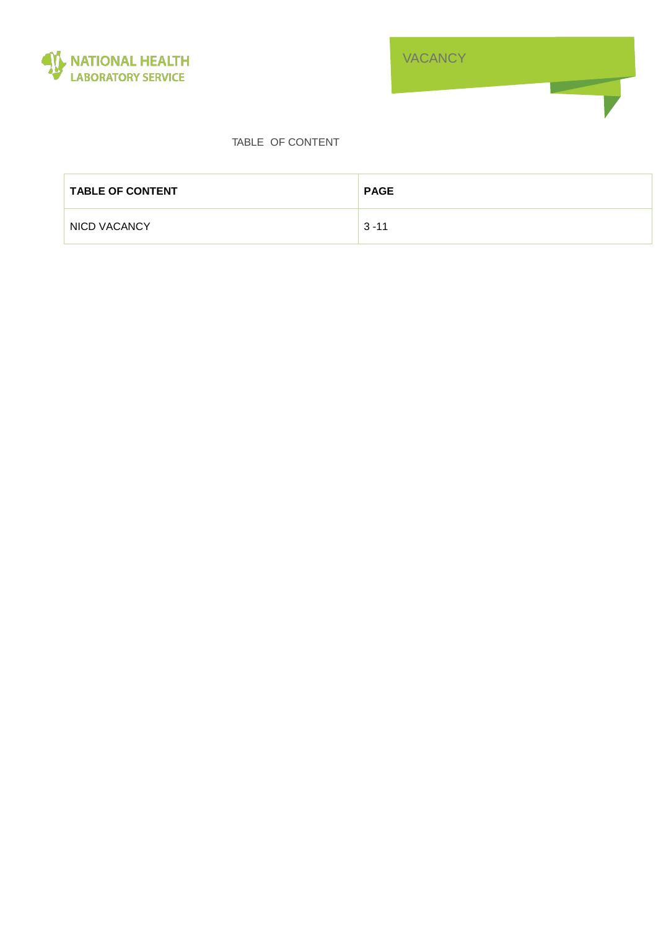

## TABLE OF CONTENT

| <b>TABLE OF CONTENT</b> | <b>PAGE</b> |
|-------------------------|-------------|
| NICD VACANCY            | $3 - 11$    |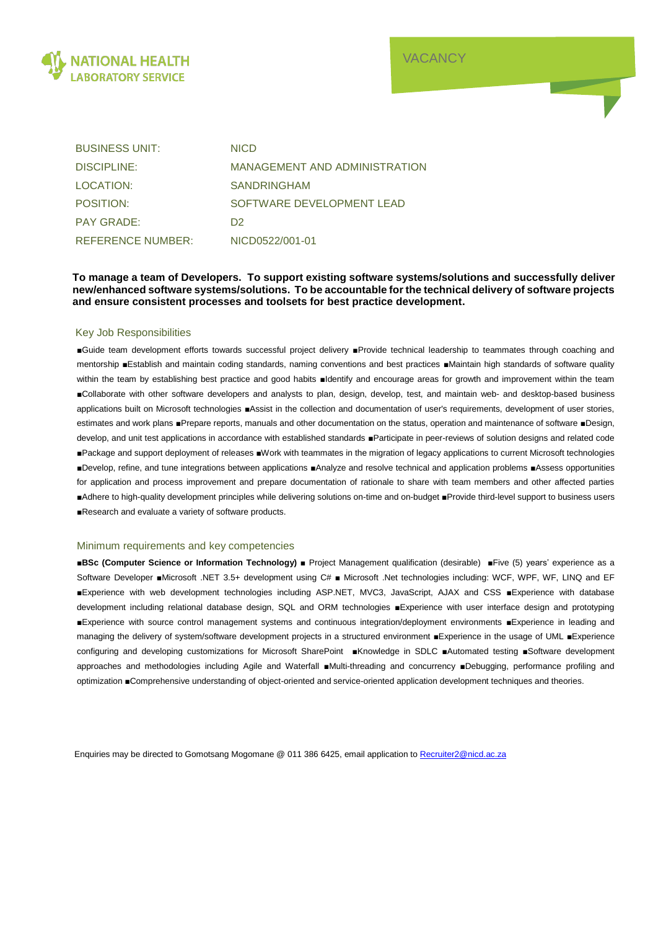

| <b>BUSINESS UNIT:</b>    | <b>NICD</b>                          |
|--------------------------|--------------------------------------|
| <b>DISCIPLINE:</b>       | <b>MANAGEMENT AND ADMINISTRATION</b> |
| LOCATION:                | <b>SANDRINGHAM</b>                   |
| POSITION:                | SOFTWARE DEVELOPMENT LEAD            |
| <b>PAY GRADE:</b>        | D <sub>2</sub>                       |
| <b>REFERENCE NUMBER:</b> | NICD0522/001-01                      |

## **To manage a team of Developers. To support existing software systems/solutions and successfully deliver new/enhanced software systems/solutions. To be accountable for the technical delivery of software projects and ensure consistent processes and toolsets for best practice development.**

### Key Job Responsibilities

■Guide team development efforts towards successful project delivery ■Provide technical leadership to teammates through coaching and mentorship ■Establish and maintain coding standards, naming conventions and best practices ■Maintain high standards of software quality within the team by establishing best practice and good habits ■Identify and encourage areas for growth and improvement within the team ■Collaborate with other software developers and analysts to plan, design, develop, test, and maintain web- and desktop-based business applications built on Microsoft technologies ■Assist in the collection and documentation of user's requirements, development of user stories, estimates and work plans ■Prepare reports, manuals and other documentation on the status, operation and maintenance of software ■Design, develop, and unit test applications in accordance with established standards ■Participate in peer-reviews of solution designs and related code ■Package and support deployment of releases ■Work with teammates in the migration of legacy applications to current Microsoft technologies ■Develop, refine, and tune integrations between applications ■Analyze and resolve technical and application problems ■Assess opportunities for application and process improvement and prepare documentation of rationale to share with team members and other affected parties ■Adhere to high-quality development principles while delivering solutions on-time and on-budget ■Provide third-level support to business users ■Research and evaluate a variety of software products.

#### Minimum requirements and key competencies

■**BSc (Computer Science or Information Technology)** ■ Project Management qualification (desirable) ■Five (5) years' experience as a Software Developer ■Microsoft .NET 3.5+ development using C# ■ Microsoft .Net technologies including: WCF, WPF, WF, LINQ and EF ■Experience with web development technologies including ASP.NET, MVC3, JavaScript, AJAX and CSS ■Experience with database development including relational database design, SQL and ORM technologies ■Experience with user interface design and prototyping ■Experience with source control management systems and continuous integration/deployment environments ■Experience in leading and managing the delivery of system/software development projects in a structured environment ■Experience in the usage of UML ■Experience configuring and developing customizations for Microsoft SharePoint ■Knowledge in SDLC ■Automated testing ■Software development approaches and methodologies including Agile and Waterfall ■Multi-threading and concurrency ■Debugging, performance profiling and optimization ■Comprehensive understanding of object-oriented and service-oriented application development techniques and theories.

Enquiries may be directed to Gomotsang Mogomane @ 011 386 6425, email application to [Recruiter2@nicd.ac.za](mailto:Recruiter2@nicd.ac.za)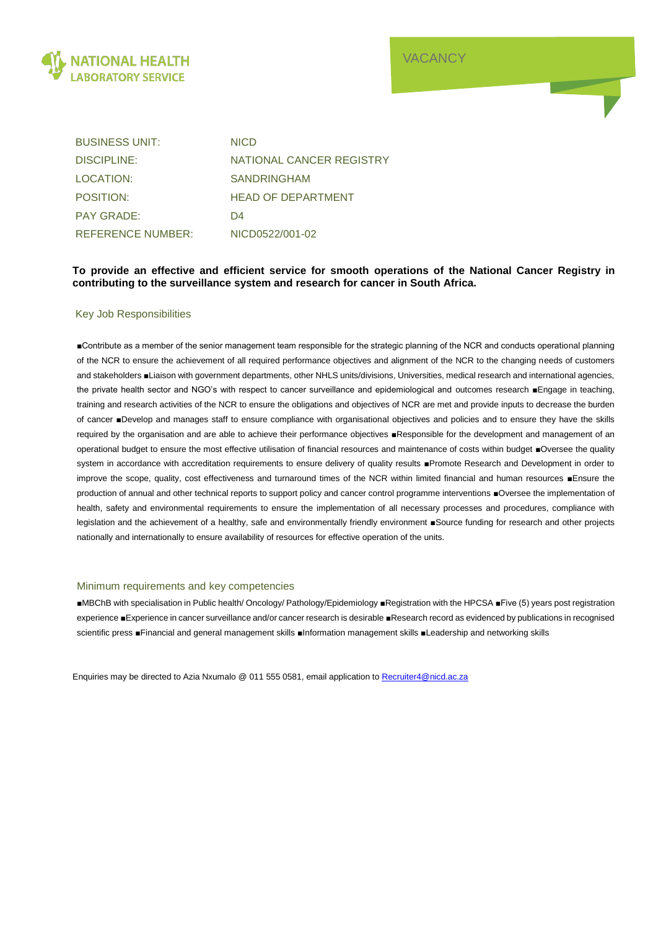

| <b>BUSINESS UNIT:</b>    | <b>NICD</b>               |
|--------------------------|---------------------------|
| DISCIPLINE:              | NATIONAL CANCER REGISTRY  |
| LOCATION:                | <b>SANDRINGHAM</b>        |
| POSITION:                | <b>HEAD OF DEPARTMENT</b> |
| <b>PAY GRADE:</b>        | D4                        |
| <b>REFERENCE NUMBER:</b> | NICD0522/001-02           |

## **To provide an effective and efficient service for smooth operations of the National Cancer Registry in contributing to the surveillance system and research for cancer in South Africa.**

### Key Job Responsibilities

■Contribute as a member of the senior management team responsible for the strategic planning of the NCR and conducts operational planning of the NCR to ensure the achievement of all required performance objectives and alignment of the NCR to the changing needs of customers and stakeholders ■Liaison with government departments, other NHLS units/divisions, Universities, medical research and international agencies, the private health sector and NGO's with respect to cancer surveillance and epidemiological and outcomes research ■Engage in teaching, training and research activities of the NCR to ensure the obligations and objectives of NCR are met and provide inputs to decrease the burden of cancer ■Develop and manages staff to ensure compliance with organisational objectives and policies and to ensure they have the skills required by the organisation and are able to achieve their performance objectives ■Responsible for the development and management of an operational budget to ensure the most effective utilisation of financial resources and maintenance of costs within budget ■Oversee the quality system in accordance with accreditation requirements to ensure delivery of quality results ■Promote Research and Development in order to improve the scope, quality, cost effectiveness and turnaround times of the NCR within limited financial and human resources ■Ensure the production of annual and other technical reports to support policy and cancer control programme interventions ■Oversee the implementation of health, safety and environmental requirements to ensure the implementation of all necessary processes and procedures, compliance with legislation and the achievement of a healthy, safe and environmentally friendly environment ■Source funding for research and other projects nationally and internationally to ensure availability of resources for effective operation of the units.

#### Minimum requirements and key competencies

■MBChB with specialisation in Public health/ Oncology/ Pathology/Epidemiology ■Registration with the HPCSA ■Five (5) years post registration experience ■Experience in cancer surveillance and/or cancer research is desirable ■Research record as evidenced by publications in recognised scientific press ■Financial and general management skills ■Information management skills ■Leadership and networking skills

Enquiries may be directed to Azia Nxumalo @ 011 555 0581, email application t[o Recruiter4@nicd.ac.za](mailto:Recruiter4@nicd.ac.za)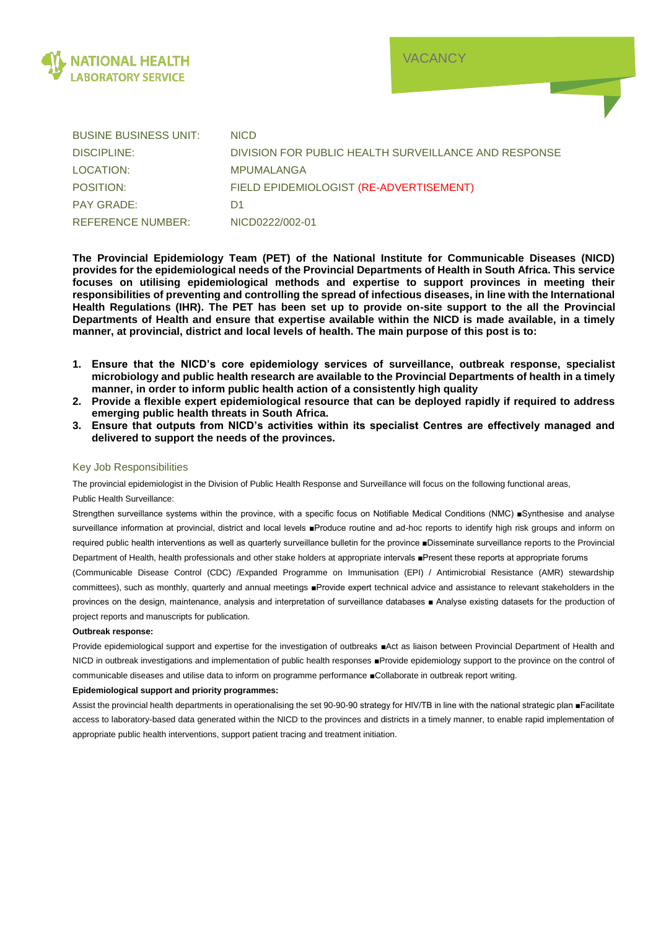

| <b>BUSINE BUSINESS UNIT:</b> | <b>NICD</b>                                          |
|------------------------------|------------------------------------------------------|
| DISCIPLINE:                  | DIVISION FOR PUBLIC HEALTH SURVEILLANCE AND RESPONSE |
| LOCATION:                    | <b>MPUMALANGA</b>                                    |
| POSITION:                    | FIELD EPIDEMIOLOGIST (RE-ADVERTISEMENT)              |
| <b>PAY GRADE:</b>            | D1                                                   |
| <b>REFERENCE NUMBER:</b>     | NICD0222/002-01                                      |

**The Provincial Epidemiology Team (PET) of the National Institute for Communicable Diseases (NICD) provides for the epidemiological needs of the Provincial Departments of Health in South Africa. This service focuses on utilising epidemiological methods and expertise to support provinces in meeting their responsibilities of preventing and controlling the spread of infectious diseases, in line with the International Health Regulations (IHR). The PET has been set up to provide on-site support to the all the Provincial Departments of Health and ensure that expertise available within the NICD is made available, in a timely manner, at provincial, district and local levels of health. The main purpose of this post is to:** 

- **1. Ensure that the NICD's core epidemiology services of surveillance, outbreak response, specialist microbiology and public health research are available to the Provincial Departments of health in a timely manner, in order to inform public health action of a consistently high quality**
- **2. Provide a flexible expert epidemiological resource that can be deployed rapidly if required to address emerging public health threats in South Africa.**
- **3. Ensure that outputs from NICD's activities within its specialist Centres are effectively managed and delivered to support the needs of the provinces.**

### Key Job Responsibilities

The provincial epidemiologist in the Division of Public Health Response and Surveillance will focus on the following functional areas, Public Health Surveillance:

Strengthen surveillance systems within the province, with a specific focus on Notifiable Medical Conditions (NMC) ■Synthesise and analyse surveillance information at provincial, district and local levels ■Produce routine and ad-hoc reports to identify high risk groups and inform on required public health interventions as well as quarterly surveillance bulletin for the province ■Disseminate surveillance reports to the Provincial Department of Health, health professionals and other stake holders at appropriate intervals ■Present these reports at appropriate forums

(Communicable Disease Control (CDC) /Expanded Programme on Immunisation (EPI) / Antimicrobial Resistance (AMR) stewardship committees), such as monthly, quarterly and annual meetings ■Provide expert technical advice and assistance to relevant stakeholders in the provinces on the design, maintenance, analysis and interpretation of surveillance databases ■ Analyse existing datasets for the production of project reports and manuscripts for publication.

#### **Outbreak response:**

Provide epidemiological support and expertise for the investigation of outbreaks ■Act as liaison between Provincial Department of Health and NICD in outbreak investigations and implementation of public health responses ■Provide epidemiology support to the province on the control of communicable diseases and utilise data to inform on programme performance ■Collaborate in outbreak report writing.

#### **Epidemiological support and priority programmes:**

Assist the provincial health departments in operationalising the set 90-90-90 strategy for HIV/TB in line with the national strategic plan ■Facilitate access to laboratory-based data generated within the NICD to the provinces and districts in a timely manner, to enable rapid implementation of appropriate public health interventions, support patient tracing and treatment initiation.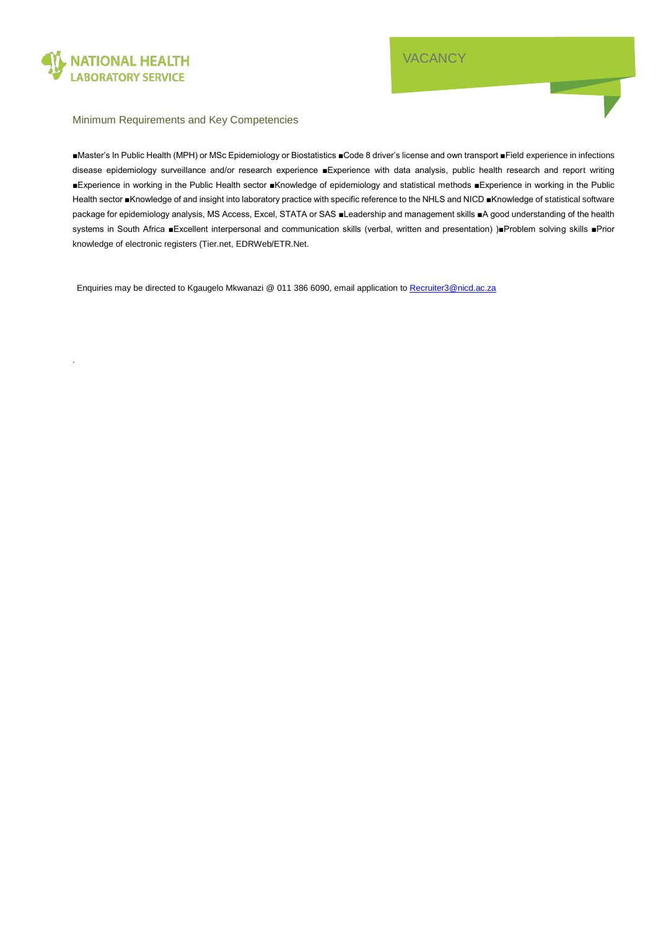

.

### Minimum Requirements and Key Competencies

■Master's In Public Health (MPH) or MSc Epidemiology or Biostatistics ■Code 8 driver's license and own transport ■Field experience in infections disease epidemiology surveillance and/or research experience ■Experience with data analysis, public health research and report writing ■Experience in working in the Public Health sector ■Knowledge of epidemiology and statistical methods ■Experience in working in the Public Health sector ■Knowledge of and insight into laboratory practice with specific reference to the NHLS and NICD ■Knowledge of statistical software package for epidemiology analysis, MS Access, Excel, STATA or SAS ■Leadership and management skills ■A good understanding of the health systems in South Africa ■Excellent interpersonal and communication skills (verbal, written and presentation) )■Problem solving skills ■Prior knowledge of electronic registers (Tier.net, EDRWeb/ETR.Net.

Enquiries may be directed to Kgaugelo Mkwanazi @ 011 386 6090, email application to [Recruiter3@nicd.ac.za](mailto:Recruiter3@nicd.ac.za)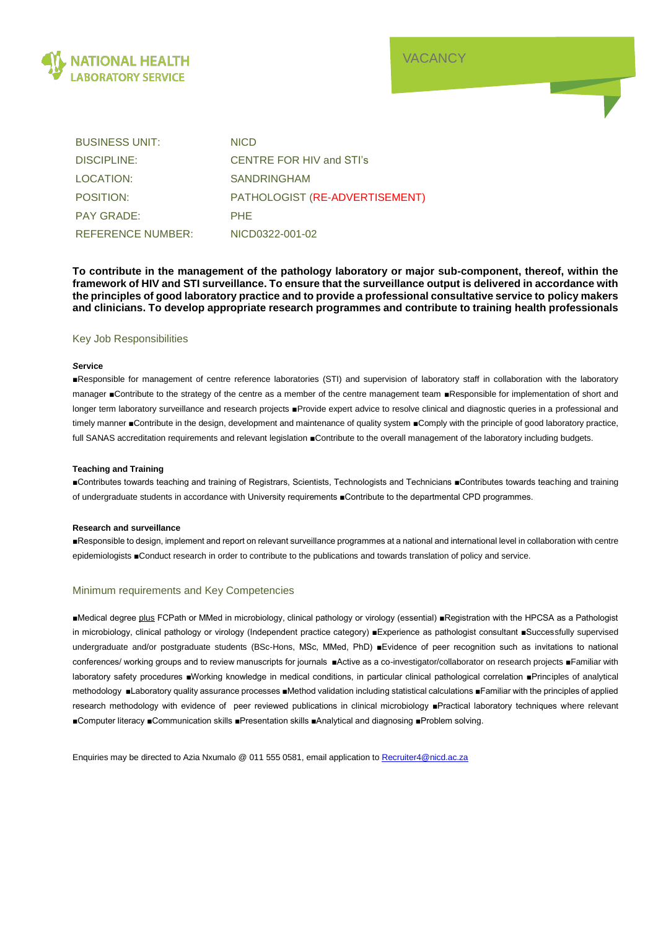

| <b>BUSINESS UNIT:</b>    | <b>NICD</b>                    |
|--------------------------|--------------------------------|
| DISCIPLINE:              | CENTRE FOR HIV and STI's       |
| LOCATION:                | <b>SANDRINGHAM</b>             |
| POSITION:                | PATHOLOGIST (RE-ADVERTISEMENT) |
| <b>PAY GRADE:</b>        | <b>PHE</b>                     |
| <b>REFERENCE NUMBER:</b> | NICD0322-001-02                |

**To contribute in the management of the pathology laboratory or major sub-component, thereof, within the framework of HIV and STI surveillance. To ensure that the surveillance output is delivered in accordance with the principles of good laboratory practice and to provide a professional consultative service to policy makers and clinicians. To develop appropriate research programmes and contribute to training health professionals**

### Key Job Responsibilities

#### *S***ervice**

■Responsible for management of centre reference laboratories (STI) and supervision of laboratory staff in collaboration with the laboratory manager ■Contribute to the strategy of the centre as a member of the centre management team ■Responsible for implementation of short and longer term laboratory surveillance and research projects ■Provide expert advice to resolve clinical and diagnostic queries in a professional and timely manner ■Contribute in the design, development and maintenance of quality system ■Comply with the principle of good laboratory practice, full SANAS accreditation requirements and relevant legislation ■Contribute to the overall management of the laboratory including budgets.

#### **Teaching and Training**

■Contributes towards teaching and training of Registrars, Scientists, Technologists and Technicians ■Contributes towards teaching and training of undergraduate students in accordance with University requirements ■Contribute to the departmental CPD programmes.

#### **Research and surveillance**

■Responsible to design, implement and report on relevant surveillance programmes at a national and international level in collaboration with centre epidemiologists ■Conduct research in order to contribute to the publications and towards translation of policy and service.

#### Minimum requirements and Key Competencies

■Medical degree plus FCPath or MMed in microbiology, clinical pathology or virology (essential) ■Registration with the HPCSA as a Pathologist in microbiology, clinical pathology or virology (Independent practice category) ■Experience as pathologist consultant ■Successfully supervised undergraduate and/or postgraduate students (BSc-Hons, MSc, MMed, PhD) ■Evidence of peer recognition such as invitations to national conferences/ working groups and to review manuscripts for journals ■Active as a co-investigator/collaborator on research projects ■Familiar with laboratory safety procedures ■Working knowledge in medical conditions, in particular clinical pathological correlation ■Principles of analytical methodology ■Laboratory quality assurance processes ■Method validation including statistical calculations ■Familiar with the principles of applied research methodology with evidence of peer reviewed publications in clinical microbiology ■Practical laboratory techniques where relevant ■Computer literacy ■Communication skills ■Presentation skills ■Analytical and diagnosing ■Problem solving.

Enquiries may be directed to Azia Nxumalo @ 011 555 0581, email application t[o Recruiter4@nicd.ac.za](mailto:Recruiter4@nicd.ac.za)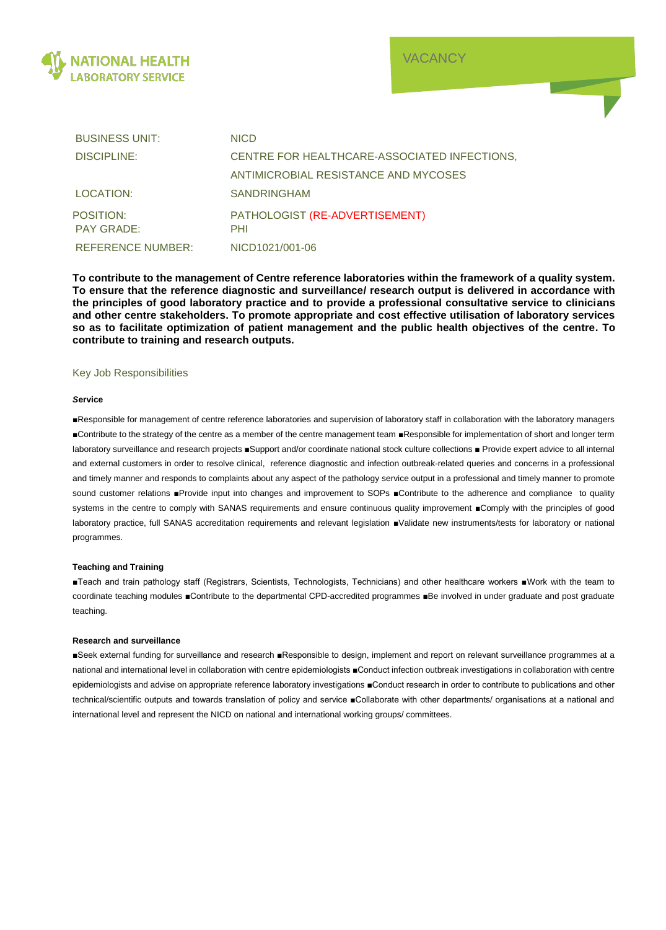

| <b>BUSINESS UNIT:</b>                 | <b>NICD</b>                                  |
|---------------------------------------|----------------------------------------------|
| DISCIPLINE:                           | CENTRE FOR HEALTHCARE-ASSOCIATED INFECTIONS, |
|                                       | ANTIMICROBIAL RESISTANCE AND MYCOSES         |
| LOCATION:                             | <b>SANDRINGHAM</b>                           |
| <b>POSITION:</b><br><b>PAY GRADE:</b> | PATHOLOGIST (RE-ADVERTISEMENT)<br>PHI        |
| <b>REFERENCE NUMBER:</b>              | NICD1021/001-06                              |

**To contribute to the management of Centre reference laboratories within the framework of a quality system. To ensure that the reference diagnostic and surveillance/ research output is delivered in accordance with the principles of good laboratory practice and to provide a professional consultative service to clinicians and other centre stakeholders. To promote appropriate and cost effective utilisation of laboratory services so as to facilitate optimization of patient management and the public health objectives of the centre. To contribute to training and research outputs.**

### Key Job Responsibilities

#### *S***ervice**

■Responsible for management of centre reference laboratories and supervision of laboratory staff in collaboration with the laboratory managers ■Contribute to the strategy of the centre as a member of the centre management team ■Responsible for implementation of short and longer term laboratory surveillance and research projects ■Support and/or coordinate national stock culture collections ■ Provide expert advice to all internal and external customers in order to resolve clinical, reference diagnostic and infection outbreak-related queries and concerns in a professional and timely manner and responds to complaints about any aspect of the pathology service output in a professional and timely manner to promote sound customer relations ■Provide input into changes and improvement to SOPs ■Contribute to the adherence and compliance to quality systems in the centre to comply with SANAS requirements and ensure continuous quality improvement ■Comply with the principles of good laboratory practice, full SANAS accreditation requirements and relevant legislation ■Validate new instruments/tests for laboratory or national programmes.

#### **Teaching and Training**

■Teach and train pathology staff (Registrars, Scientists, Technologists, Technicians) and other healthcare workers ■Work with the team to coordinate teaching modules ■Contribute to the departmental CPD-accredited programmes ■Be involved in under graduate and post graduate teaching.

#### **Research and surveillance**

■Seek external funding for surveillance and research ■Responsible to design, implement and report on relevant surveillance programmes at a national and international level in collaboration with centre epidemiologists ■Conduct infection outbreak investigations in collaboration with centre epidemiologists and advise on appropriate reference laboratory investigations ■Conduct research in order to contribute to publications and other technical/scientific outputs and towards translation of policy and service ■Collaborate with other departments/ organisations at a national and international level and represent the NICD on national and international working groups/ committees.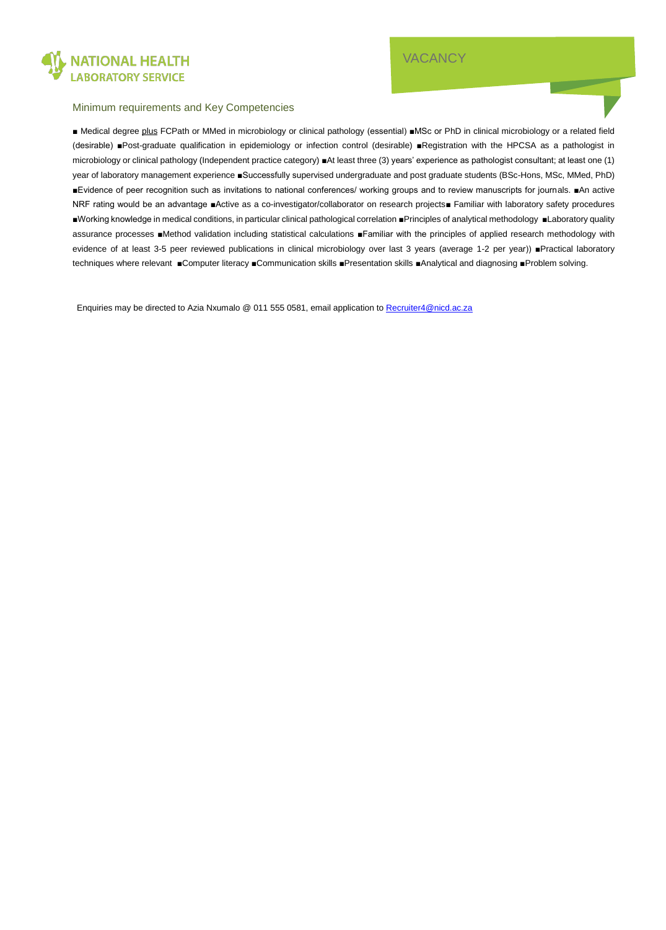

## Minimum requirements and Key Competencies

■ Medical degree plus FCPath or MMed in microbiology or clinical pathology (essential) ■MSc or PhD in clinical microbiology or a related field (desirable) ■Post-graduate qualification in epidemiology or infection control (desirable) ■Registration with the HPCSA as a pathologist in microbiology or clinical pathology (Independent practice category) ■At least three (3) years' experience as pathologist consultant; at least one (1) year of laboratory management experience ■Successfully supervised undergraduate and post graduate students (BSc-Hons, MSc, MMed, PhD) ■Evidence of peer recognition such as invitations to national conferences/ working groups and to review manuscripts for journals. ■An active NRF rating would be an advantage ■Active as a co-investigator/collaborator on research projects■ Familiar with laboratory safety procedures ■Working knowledge in medical conditions, in particular clinical pathological correlation ■Principles of analytical methodology ■Laboratory quality assurance processes ■Method validation including statistical calculations ■Familiar with the principles of applied research methodology with evidence of at least 3-5 peer reviewed publications in clinical microbiology over last 3 years (average 1-2 per year)) ■Practical laboratory techniques where relevant ■Computer literacy ■Communication skills ■Presentation skills ■Analytical and diagnosing ■Problem solving.

Enquiries may be directed to Azia Nxumalo @ 011 555 0581, email application t[o Recruiter4@nicd.ac.za](mailto:Recruiter4@nicd.ac.za)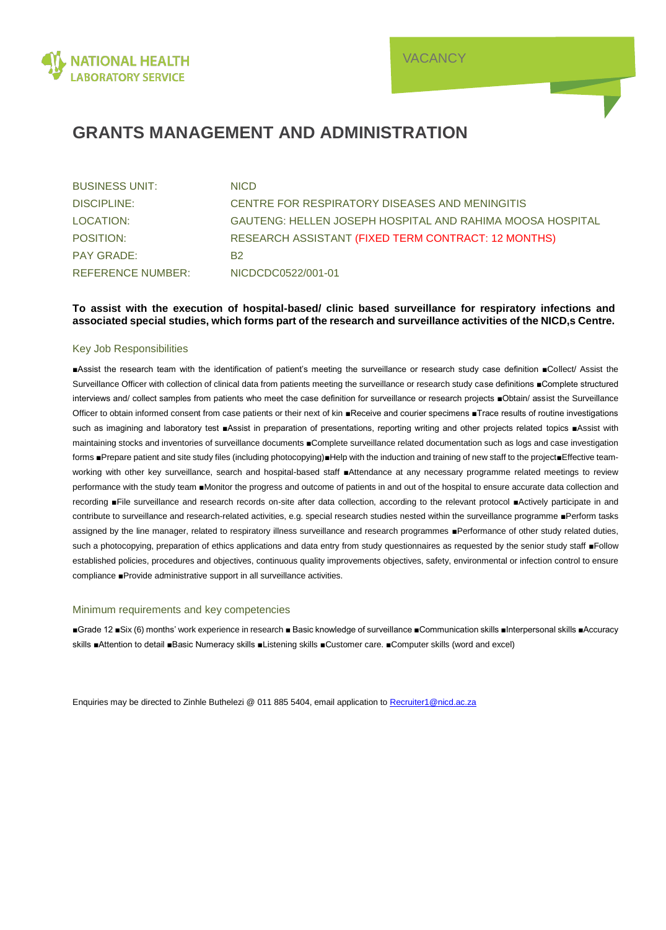

# **GRANTS MANAGEMENT AND ADMINISTRATION**

| <b>BUSINESS UNIT:</b>    | <b>NICD</b>                                                      |
|--------------------------|------------------------------------------------------------------|
| <b>DISCIPLINE:</b>       | CENTRE FOR RESPIRATORY DISEASES AND MENINGITIS                   |
| LOCATION:                | <b>GAUTENG: HELLEN JOSEPH HOSPITAL AND RAHIMA MOOSA HOSPITAL</b> |
| POSITION:                | RESEARCH ASSISTANT (FIXED TERM CONTRACT: 12 MONTHS)              |
| <b>PAY GRADE:</b>        | B2                                                               |
| <b>REFERENCE NUMBER:</b> | NICDCDC0522/001-01                                               |

## **To assist with the execution of hospital-based/ clinic based surveillance for respiratory infections and associated special studies, which forms part of the research and surveillance activities of the NICD,s Centre.**

### Key Job Responsibilities

■Assist the research team with the identification of patient's meeting the surveillance or research study case definition ■Collect/ Assist the Surveillance Officer with collection of clinical data from patients meeting the surveillance or research study case definitions ■Complete structured interviews and/ collect samples from patients who meet the case definition for surveillance or research projects ■Obtain/ assist the Surveillance Officer to obtain informed consent from case patients or their next of kin ■Receive and courier specimens ■Trace results of routine investigations such as imagining and laboratory test ■Assist in preparation of presentations, reporting writing and other projects related topics ■Assist with maintaining stocks and inventories of surveillance documents ■Complete surveillance related documentation such as logs and case investigation forms ■Prepare patient and site study files (including photocopying)■Help with the induction and training of new staff to the project■Effective teamworking with other key surveillance, search and hospital-based staff ■Attendance at any necessary programme related meetings to review performance with the study team ■Monitor the progress and outcome of patients in and out of the hospital to ensure accurate data collection and recording ■File surveillance and research records on-site after data collection, according to the relevant protocol ■Actively participate in and contribute to surveillance and research-related activities, e.g. special research studies nested within the surveillance programme ■Perform tasks assigned by the line manager, related to respiratory illness surveillance and research programmes ■Performance of other study related duties, such a photocopying, preparation of ethics applications and data entry from study questionnaires as requested by the senior study staff ■Follow established policies, procedures and objectives, continuous quality improvements objectives, safety, environmental or infection control to ensure compliance ■Provide administrative support in all surveillance activities.

#### Minimum requirements and key competencies

■Grade 12 ■Six (6) months' work experience in research ■ Basic knowledge of surveillance ■Communication skills ■Interpersonal skills ■Accuracy skills ■Attention to detail ■Basic Numeracy skills ■Listening skills ■Customer care. ■Computer skills (word and excel)

Enquiries may be directed to Zinhle Buthelezi @ 011 885 5404, email application t[o Recruiter1@nicd.ac.za](mailto:Recruiter1@nicd.ac.za)